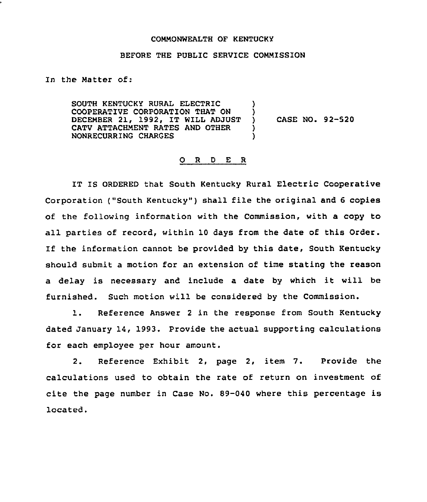## COMMONWEALTH OF KENTUCKY

## BEFORE THE PUBLIC SERVICE COMMISSION

) )

) )

In the Matter of:

SOUTH KENTUCKY RURAL ELECTRIC COOPERATIVE CORPORATION THAT ON DECEMBER 21, 1992, IT WILL ADJUST CATV ATTACHMENT RATES AND OTHER NONRECURRING CHARGES

) CASE NO. 92-520

## 0 <sup>R</sup> <sup>D</sup> E <sup>R</sup>

IT IS ORDERED that South Kentucky Rural Electric Cooperative Corporation ("South Kentucky") shall file the original and 6 copies of the following information with the Commission, with a copy to all parties of record, within 10 days from the date of this Order. If the information cannot be provided by this date, South Kentucky should submit a motion for an extension of time stating the reason <sup>a</sup> delay is necessary and include <sup>a</sup> date by which it will be furnished. Such motion will be considered by the Commission.

1. Reference Answer <sup>2</sup> in the response from South Kentucky dated January 14, 1993. Provide the actual supporting calculations for each employee per hour amount.

2. Reference Exhibit 2, page 2, item 7. Provide the calculations used to obtain the rate of return on investment of cite the page number in Case No. 89-040 where this percentage is located.